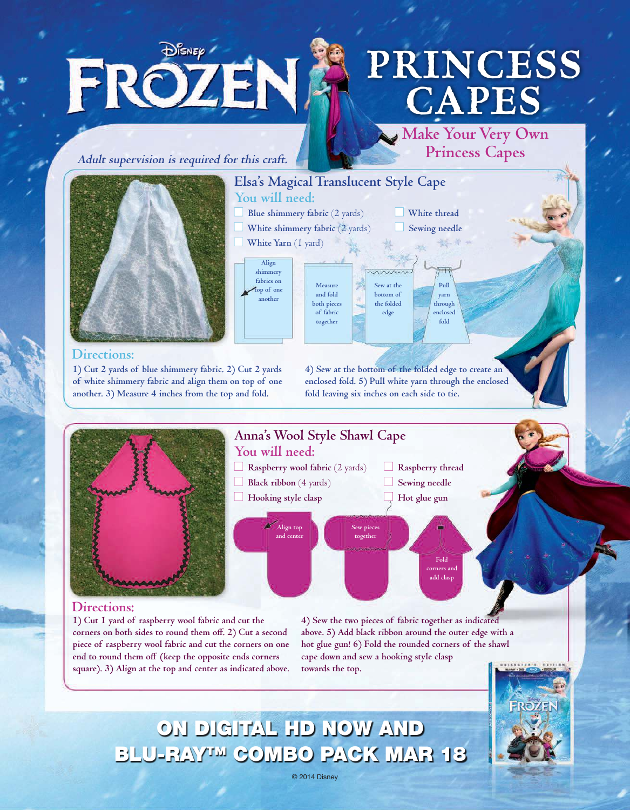# **PRINCESS CAPES**

**Make Your Very Own Princess Capes**

> **White thread Sewing needle**

> > **Pull yarn through enclosed fold**

**Adult supervision is required for this craft.**

DISNEP /

FROZEN.



#### **Directions:**

**1) Cut 2 yards of blue shimmery fabric. 2) Cut 2 yards of white shimmery fabric and align them on top of one another. 3) Measure 4 inches from the top and fold.** 

**4) Sew at the bottom of the folded edge to create an enclosed fold. 5) Pull white yarn through the enclosed fold leaving six inches on each side to tie.**

**Sew at the bottom of the folded edge**



**Elsa's Magical Translucent Style Cape**

**Measure and fold both pieces of fabric together**

**You will need:** 

 **White Yarn** (1 yard)

**Align shimmery fabrics on top of one another**

**Blue shimmery fabric** (2 yards) **White shimmery fabric** (2 yards)

#### **Directions:**

**1) Cut 1 yard of raspberry wool fabric and cut the corners on both sides to round them off. 2) Cut a second piece of raspberry wool fabric and cut the corners on one end to round them off (keep the opposite ends corners square). 3) Align at the top and center as indicated above.**  **4) Sew the two pieces of fabric together as indicated above. 5) Add black ribbon around the outer edge with a hot glue gun! 6) Fold the rounded corners of the shawl cape down and sew a hooking style clasp towards the top.**



ON DIGITAL HD NOW AND BLU-RAY™ COMBO PACK MAR 18

© 2014 Disney